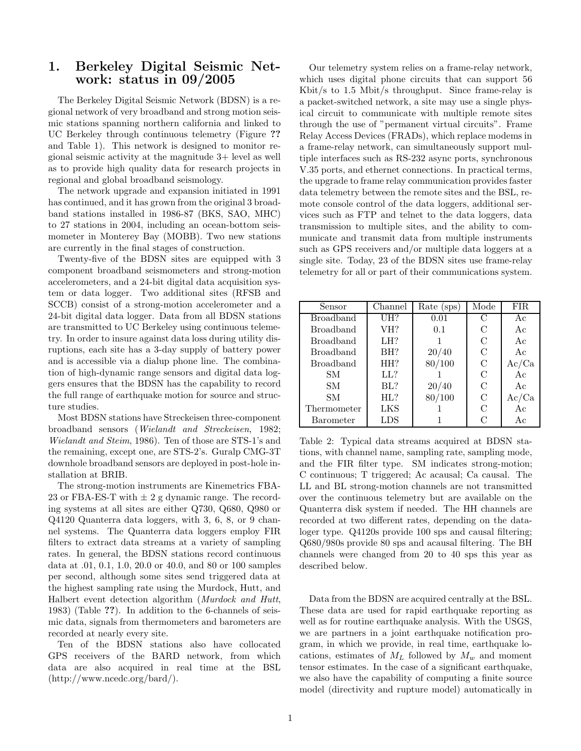## 1. Berkeley Digital Seismic Network: status in 09/2005

The Berkeley Digital Seismic Network (BDSN) is a regional network of very broadband and strong motion seismic stations spanning northern california and linked to UC Berkeley through continuous telemetry (Figure ?? and Table 1). This network is designed to monitor regional seismic activity at the magnitude 3+ level as well as to provide high quality data for research projects in regional and global broadband seismology.

The network upgrade and expansion initiated in 1991 has continued, and it has grown from the original 3 broadband stations installed in 1986-87 (BKS, SAO, MHC) to 27 stations in 2004, including an ocean-bottom seismometer in Monterey Bay (MOBB). Two new stations are currently in the final stages of construction.

Twenty-five of the BDSN sites are equipped with 3 component broadband seismometers and strong-motion accelerometers, and a 24-bit digital data acquisition system or data logger. Two additional sites (RFSB and SCCB) consist of a strong-motion accelerometer and a 24-bit digital data logger. Data from all BDSN stations are transmitted to UC Berkeley using continuous telemetry. In order to insure against data loss during utility disruptions, each site has a 3-day supply of battery power and is accessible via a dialup phone line. The combination of high-dynamic range sensors and digital data loggers ensures that the BDSN has the capability to record the full range of earthquake motion for source and structure studies.

Most BDSN stations have Streckeisen three-component broadband sensors (Wielandt and Streckeisen, 1982; Wielandt and Steim, 1986). Ten of those are STS-1's and the remaining, except one, are STS-2's. Guralp CMG-3T downhole broadband sensors are deployed in post-hole installation at BRIB.

The strong-motion instruments are Kinemetrics FBA-23 or FBA-ES-T with  $\pm 2$  g dynamic range. The recording systems at all sites are either Q730, Q680, Q980 or Q4120 Quanterra data loggers, with 3, 6, 8, or 9 channel systems. The Quanterra data loggers employ FIR filters to extract data streams at a variety of sampling rates. In general, the BDSN stations record continuous data at .01, 0.1, 1.0, 20.0 or 40.0, and 80 or 100 samples per second, although some sites send triggered data at the highest sampling rate using the Murdock, Hutt, and Halbert event detection algorithm (Murdock and Hutt, 1983) (Table ??). In addition to the 6-channels of seismic data, signals from thermometers and barometers are recorded at nearly every site.

Ten of the BDSN stations also have collocated GPS receivers of the BARD network, from which data are also acquired in real time at the BSL (http://www.ncedc.org/bard/).

Our telemetry system relies on a frame-relay network, which uses digital phone circuits that can support 56 Kbit/s to 1.5 Mbit/s throughput. Since frame-relay is a packet-switched network, a site may use a single physical circuit to communicate with multiple remote sites through the use of "permanent virtual circuits". Frame Relay Access Devices (FRADs), which replace modems in a frame-relay network, can simultaneously support multiple interfaces such as RS-232 async ports, synchronous V.35 ports, and ethernet connections. In practical terms, the upgrade to frame relay communication provides faster data telemetry between the remote sites and the BSL, remote console control of the data loggers, additional services such as FTP and telnet to the data loggers, data transmission to multiple sites, and the ability to communicate and transmit data from multiple instruments such as GPS receivers and/or multiple data loggers at a single site. Today, 23 of the BDSN sites use frame-relay telemetry for all or part of their communications system.

| Sensor           | Channel | Rate (sps) | Mode | FIR.  |
|------------------|---------|------------|------|-------|
| <b>Broadband</b> | UH?     | 0.01       | C    | Ac    |
| <b>Broadband</b> | VH?     | 0.1        | С    | Ac    |
| <b>Broadband</b> | LH?     |            | C    | Ac    |
| <b>Broadband</b> | BH?     | 20/40      | C    | Ac    |
| <b>Broadband</b> | HH?     | 80/100     | С    | Ac/Ca |
| SМ               | LL?     |            | C    | Ac    |
| SМ               | BL?     | 20/40      | C    | Ac    |
| SM               | HL?     | 80/100     | C    | Ac/Ca |
| Thermometer      | LKS     |            | С    | Ac    |
| Barometer        | LDS     |            |      | Ac    |

Table 2: Typical data streams acquired at BDSN stations, with channel name, sampling rate, sampling mode, and the FIR filter type. SM indicates strong-motion; C continuous; T triggered; Ac acausal; Ca causal. The LL and BL strong-motion channels are not transmitted over the continuous telemetry but are available on the Quanterra disk system if needed. The HH channels are recorded at two different rates, depending on the dataloger type. Q4120s provide 100 sps and causal filtering; Q680/980s provide 80 sps and acausal filtering. The BH channels were changed from 20 to 40 sps this year as described below.

Data from the BDSN are acquired centrally at the BSL. These data are used for rapid earthquake reporting as well as for routine earthquake analysis. With the USGS, we are partners in a joint earthquake notification program, in which we provide, in real time, earthquake locations, estimates of  $M_L$  followed by  $M_w$  and moment tensor estimates. In the case of a significant earthquake, we also have the capability of computing a finite source model (directivity and rupture model) automatically in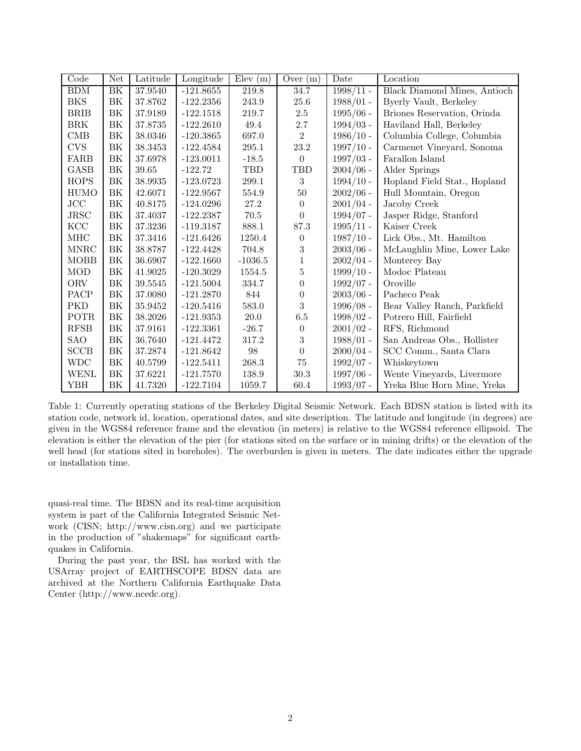| Code        | Net      | Latitude | Longitude   | Elev(m)   | Over $(m)$       | Date        | Location                                |
|-------------|----------|----------|-------------|-----------|------------------|-------------|-----------------------------------------|
| <b>BDM</b>  | BK       | 37.9540  | $-121.8655$ | 219.8     | 34.7             | $1998/11$ - | Black Diamond Mines, Antioch            |
| <b>BKS</b>  | BK       | 37.8762  | $-122.2356$ | 243.9     | 25.6             | $1988/01 -$ | Byerly Vault, Berkeley                  |
| <b>BRIB</b> | BK       | 37.9189  | $-122.1518$ | 219.7     | $2.5\,$          | $1995/06$ - | Briones Reservation, Orinda             |
| <b>BRK</b>  | BK       | 37.8735  | $-122.2610$ | 49.4      | $2.7\,$          | $1994/03$ - | Haviland Hall, Berkeley                 |
| $\rm CMB$   | BK       | 38.0346  | $-120.3865$ | 697.0     | $\overline{2}$   | $1986/10$ - | Columbia College, Columbia              |
| <b>CVS</b>  | BK       | 38.3453  | $-122.4584$ | $295.1\,$ | $23.2\,$         | $1997/10 -$ | Carmenet Vineyard, Sonoma               |
| FARB        | ΒK       | 37.6978  | $-123.0011$ | $-18.5$   | $\Omega$         | $1997/03$ - | Farallon Island                         |
| <b>GASB</b> | $\rm BK$ | 39.65    | $-122.72$   | TBD       | TBD              | $2004/06$ - | Alder Springs                           |
| <b>HOPS</b> | BK       | 38.9935  | $-123.0723$ | $299.1\,$ | 3                | $1994/10$ - | Hopland Field Stat., Hopland            |
| <b>HUMO</b> | ΒK       | 42.6071  | $-122.9567$ | 554.9     | $50\,$           | $2002/06$ - | Hull Mountain, Oregon                   |
| JCC         | BK       | 40.8175  | $-124.0296$ | 27.2      | 0                | $2001/04$ - | Jacoby Creek                            |
| JRSC        | ΒK       | 37.4037  | $-122.2387$ | $70.5\,$  | 0                | $1994/07 -$ | Jasper Ridge, Stanford                  |
| KCC         | BK       | 37.3236  | $-119.3187$ | 888.1     | 87.3             | $1995/11$ - | Kaiser Creek                            |
| $\rm MHC$   | $\rm BK$ | 37.3416  | $-121.6426$ | 1250.4    | 0                | $1987/10$ - | Lick Obs., Mt. Hamilton                 |
| <b>MNRC</b> | BK       | 38.8787  | $-122.4428$ | 704.8     | $\boldsymbol{3}$ | $2003/06$ - | McLaughlin Mine, Lower Lake             |
| <b>MOBB</b> | BK       | 36.6907  | $-122.1660$ | $-1036.5$ | $\mathbf{1}$     | $2002/04 -$ | Monterey Bay                            |
| <b>MOD</b>  | BK       | 41.9025  | $-120.3029$ | 1554.5    | $\overline{5}$   | $1999/10 -$ | Modoc Plateau                           |
| ORV         | ΒK       | 39.5545  | $-121.5004$ | 334.7     | $\boldsymbol{0}$ | $1992/07 -$ | Oroville                                |
| PACP        | BK       | 37.0080  | $-121.2870$ | 844       | $\overline{0}$   | $2003/06$ - | Pacheco Peak                            |
| PKD         | BK       | 35.9452  | $-120.5416$ | 583.0     | $\boldsymbol{3}$ | $1996/08 -$ | Bear Valley Ranch, Parkfield            |
| POTR        | BK       | 38.2026  | $-121.9353$ | $20.0\,$  | $6.5\,$          | $1998/02$ - | Potrero Hill, Fairfield                 |
| RFSB        | BK       | 37.9161  | $-122.3361$ | $-26.7$   | $\overline{0}$   | $2001/02$ - | RFS, Richmond                           |
| SAO         | BK       | 36.7640  | $-121.4472$ | 317.2     | 3                | $1988/01 -$ | San Andreas Obs., Hollister             |
| <b>SCCB</b> | BK       | 37.2874  | $-121.8642$ | 98        | $\boldsymbol{0}$ | $2000/04 -$ | $\operatorname{SCC}$ Comm., Santa Clara |
| <b>WDC</b>  | BK       | 40.5799  | $-122.5411$ | 268.3     | $75\,$           | $1992/07 -$ | Whiskeytown                             |
| <b>WENL</b> | BK       | 37.6221  | $-121.7570$ | 138.9     | $30.3\,$         | $1997/06$ - | Wente Vineyards, Livermore              |
| YBH         | ΒK       | 41.7320  | $-122.7104$ | 1059.7    | 60.4             | $1993/07 -$ | Yreka Blue Horn Mine, Yreka             |

Table 1: Currently operating stations of the Berkeley Digital Seismic Network. Each BDSN station is listed with its station code, network id, location, operational dates, and site description. The latitude and longitude (in degrees) are given in the WGS84 reference frame and the elevation (in meters) is relative to the WGS84 reference ellipsoid. The elevation is either the elevation of the pier (for stations sited on the surface or in mining drifts) or the elevation of the well head (for stations sited in boreholes). The overburden is given in meters. The date indicates either the upgrade or installation time.

quasi-real time. The BDSN and its real-time acquisition system is part of the California Integrated Seismic Network (CISN; http://www.cisn.org) and we participate in the production of "shakemaps" for significant earthquakes in California.

During the past year, the BSL has worked with the USArray project of EARTHSCOPE BDSN data are archived at the Northern California Earthquake Data Center (http://www.ncedc.org).